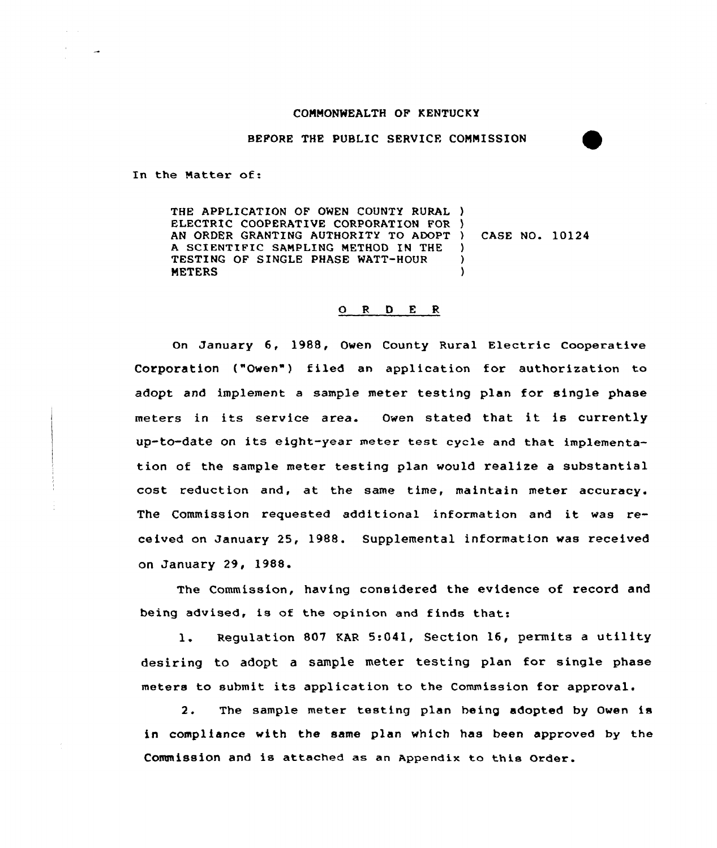#### COMMONWEALTH OF KENTUCKY

BEFORE THE PUBLIC SERVICE COMMISSION

In the Natter of:

THE APPLICATION OF OWEN COUNTY RURAL ) ELECTRIC COOPERATIVE CORPORATION FOR ) AN ORDER GRANTING AUTHORITY TO ADOPT <sup>A</sup> SCIENTIFIC SAMPLINQ METHOD IN THE TESTING OF SINGLE PHASE WATT-HOUR **METERS** ) CASE NO. 10124 )  $\lambda$  $\lambda$ 

### ORDER

On January 6, 1988, Owen County Rural Electric Cooperative Corporation ("Owen") filed an application for authorization to adopt and implement a sample meter testing plan for single phase meters in its service area. Owen stated that it is currently up-to-date on its eight-year meter test cyc1e and that implementation of the sample meter testing plan would realize a substantial cost reduction and, at the same time, maintain meter accuracy. The Commission requested additional information and it was received on January 25, 1988. Supplemental information was received on January 29, 1988.

The Commission, having considered the evidence of record and being advised, is of the opinion and finds that:

1. Regulation <sup>807</sup> EAR 5:041, Section 16, permits <sup>a</sup> utility desiring to adopt a sample meter testing plan for single phase meters to submit its application to the Commission for approval.

2. The sample meter testing plan heing adopted by Owen is in compliance with the same plan which has been approved by the Commission and is attached ae an Appendix to this Order.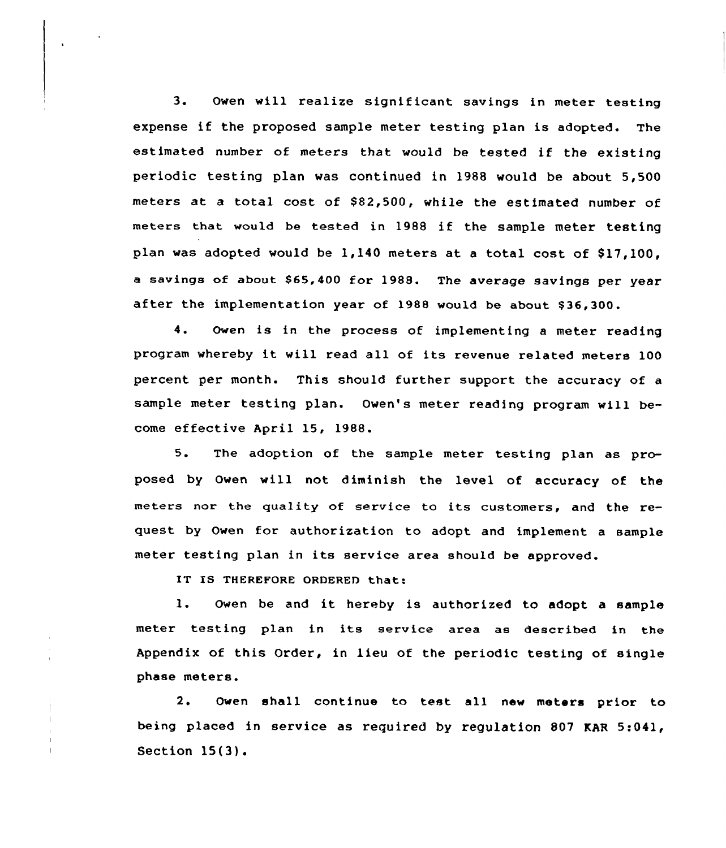3. Owen will realize significant savings in meter testing expense if the proposed sample meter testing plan is adopted. The estimated number of meters that would be tested if the existing periodic testing plan was continued in 1988 would be about 5,500 meters at a total cost of \$82,500, while the estimated number of meters that would be tested in 1988 if the sample meter testing plan was adopted would be  $1,140$  meters at a total cost of \$17,100. a savings of about \$65,400 for 1988. The average savings per year after the implementation year of 1988 would be about \$36,300.

4. Owen is in the process of implementing <sup>a</sup> meter reading program whereby it will read all of its revenue related meters <sup>100</sup> percent per month. This should further support the accuracy of a sample meter testing plan. Owen's meter reading program will become effective April 15, 1988.

5. The adoption of the sample meter testing plan as proposed by Owen will not diminish the level of accuracy of the meters nor the quality of service to its customers, and the request by Owen for authorization to adopt and implement a sample meter testing plan in its service area should be approved.

IT IS THEREFORE ORDERED that:

l. Owen be and it hereby is authorized to adopt <sup>a</sup> sample meter testing plan in its service area as described in the Appendix of this Order, in lieu of the periodic testing of single phase meters.

2. Owen shall continue to test all new meters prior to being placed in service as required by regulation 807 KAR 5:041, Section 15(3).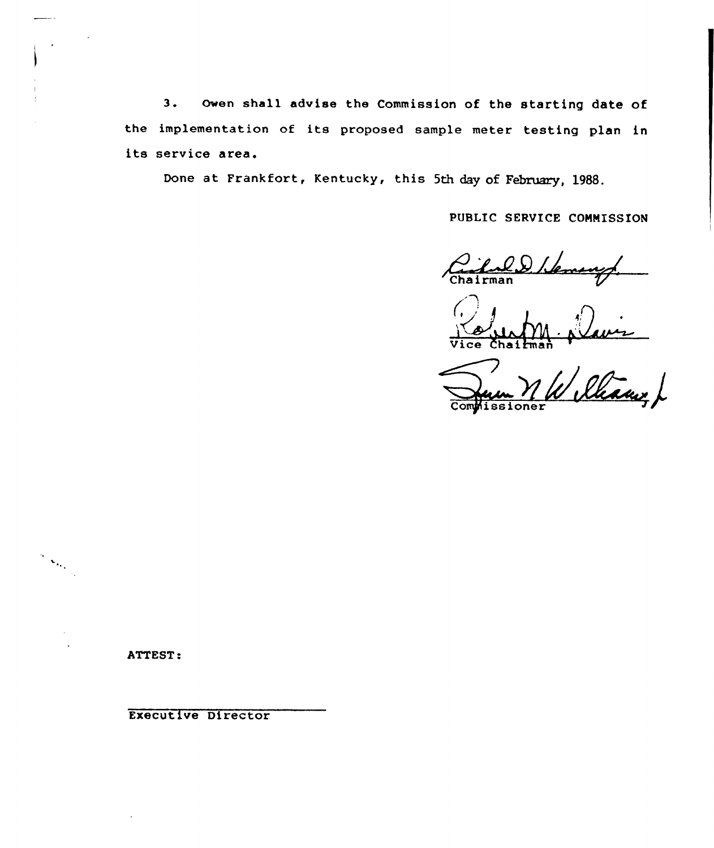3. Owen shall advise the Commission of the starting date of the implementation of its proposed sample meter testing plan in its service area.

Done at Frankfort, Kentucky, this 5th day of February, 1988.

PUBLIC SERVICE COMMISSION

<u>'nld</u><br>man

Vice Chairma

Rham /  $oner$ 

ATTEST:

 $\frac{1}{2}\sum_{i=1}^{n}$ 

Executive Director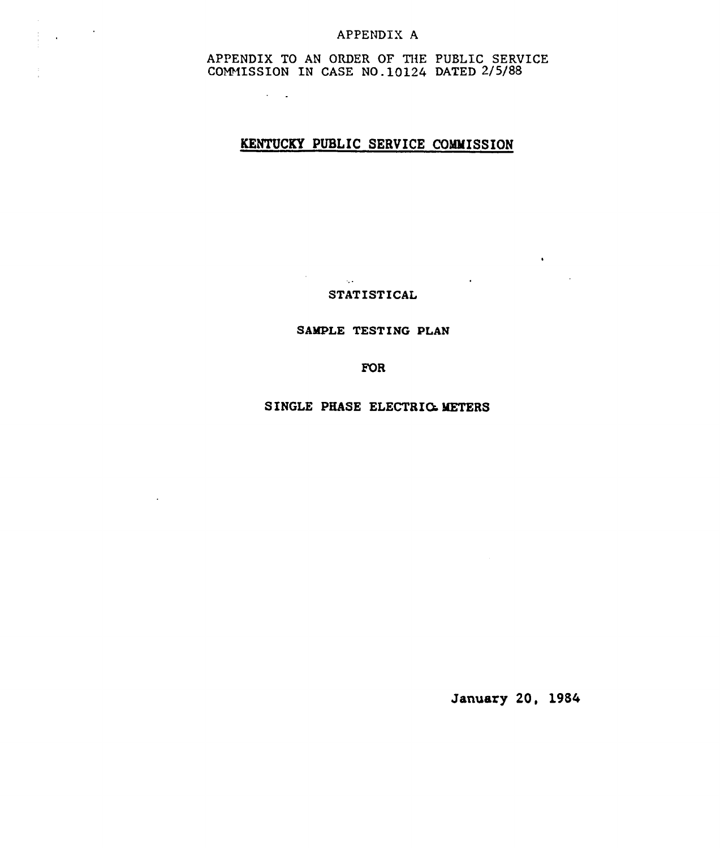## APPENDIX A

 $\mathcal{L}^{\text{max}}$  ,  $\mathcal{L}^{\text{max}}$ 

 $\sim$ 

APPENDIX TO AN ORDER OF THE PUBLIC SERVICE COMMISSION IN CASE NO.10124 DATED 2/5/88

 $\sim 10^{11}$  km  $^{-2}$ 

## KENTUCKY PUBLIC SERVICE COMMISSION

STATISTICAL

 $\label{eq:2.1} \frac{d\mathbf{r}}{d\mathbf{r}} = \frac{1}{2} \left( \frac{d\mathbf{r}}{d\mathbf{r}} + \frac{d\mathbf{r}}{d\mathbf{r}} \right) \left( \frac{d\mathbf{r}}{d\mathbf{r}} + \frac{d\mathbf{r}}{d\mathbf{r}} \right) \, .$ 

### SAMPLE TESTING PLAN

**FOR** 

SINGLE PHASE ELECTRIG METERS

January 20, 1984

 $\mathcal{L}^{\text{max}}_{\text{max}}$  .

 $\mathcal{L}_{\text{max}}$  and  $\mathcal{L}_{\text{max}}$  and  $\mathcal{L}_{\text{max}}$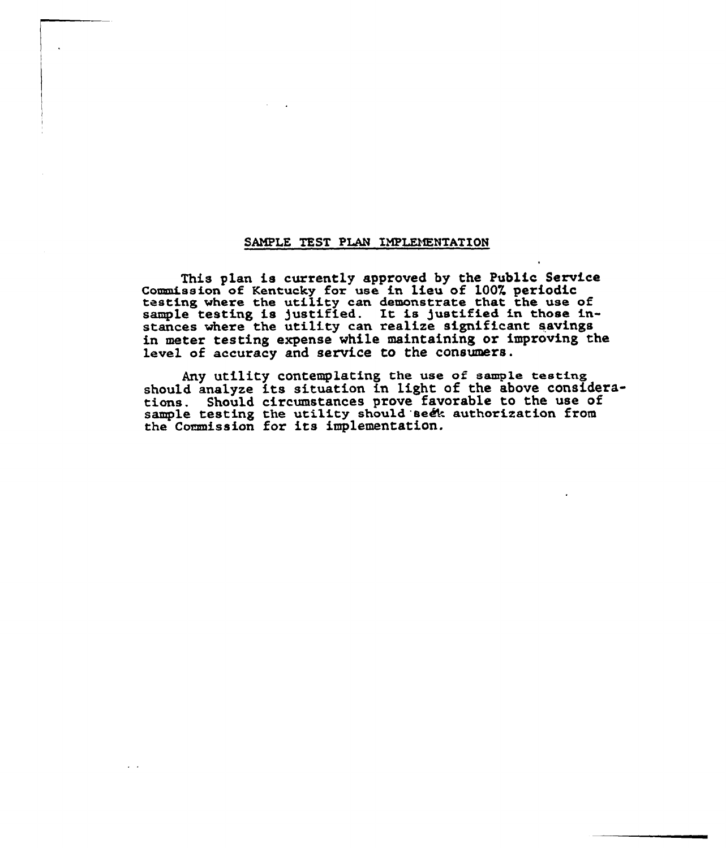#### SAMPLE TEST PLAN IMPLEMENTATION

This plan is currently approved by the Public Service<br>Commission of Kentucky for use in lieu of 100% periodic testing where the utility can demonstrate that the use of resting where the utility can demonstrate that the use of<br>sample testing is justified. It is justified in those instances where the utility can realize significant saving in metex testing expense while maintaining or improving the level of accuracy and service to the consumers.

Any utility contemplating the use of sample testing should analyze its situation in light of the above considerations. Should circumstances prove favorable to the use of sample testing the utility should seek authorization from sample testing the utility should be<br>the Commission for its implementation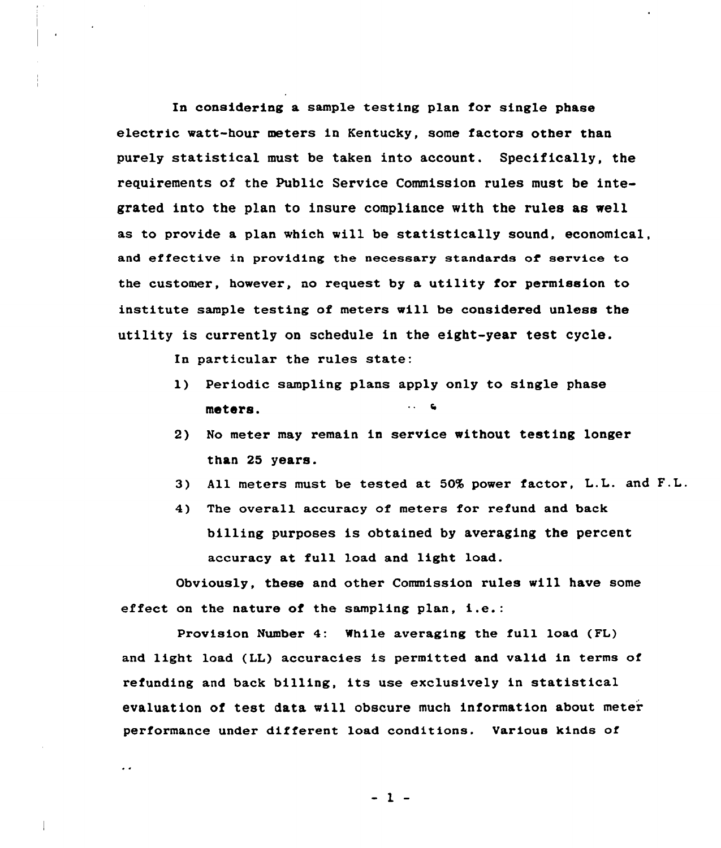In considering a sample testing plan for single phase electric watt-hour meters in Kentucky, some factors other than purely statistical must be taken into account. Specifically, the requirements of the Public Service Commission rules must be integrated into the plan to insure compliance with the rules as well as to provide a plan which will be statistically sound, economical, and effective in providing the necessary standards of service to the customer, however, no request by a utility for permission to institute sample testing of meters vill be considered unless the utility is currently on schedule in the eight-year test cycle.

In particular the rules state:

 $\ddot{\phantom{0}}$ 

- 1) Periodic sampling plans apply only to single phase  $\cdots$  . meters.
- 2) No meter may remain in service without testing longer than 25 years.
- 3) All meters must be tested at 50% power factor, L.L. and F.L.
- 4) The overall accuracy of meters for refund and back billing purposes is obtained by averaging the percent accuracy at full load and light load.

Obviously, these and other Commission rules will have some effect on the nature of the sampling plan, i.e.:

Provision Number 4: While averaging the full load (FL) and light load (LL) accuracies is permitted and valid in terms of refunding and back billing, its use exclusively in statistical evaluation of test data will obscure much information about meter performance under different load conditions. Various kinds of

 $-1 -$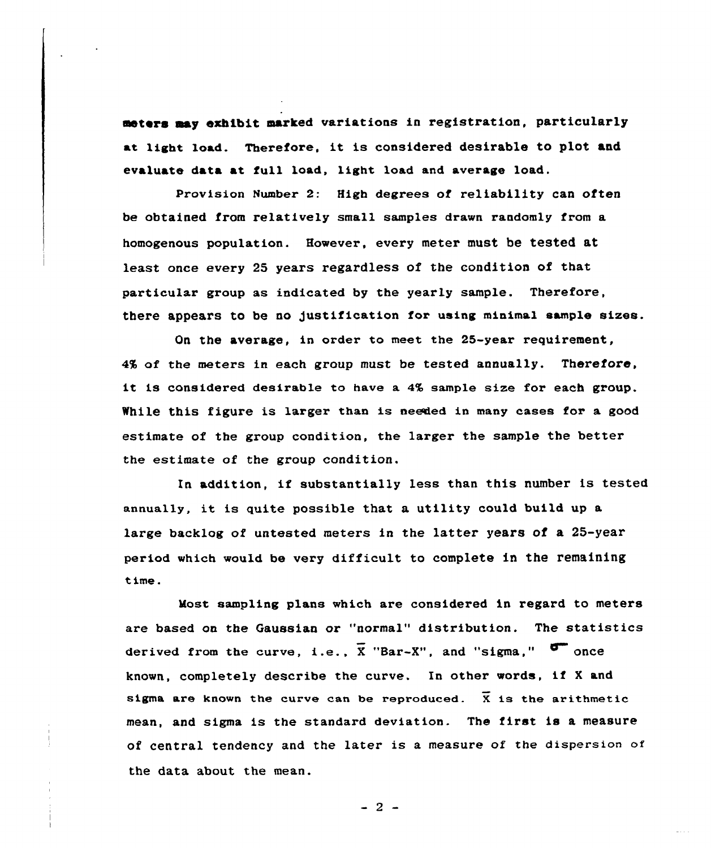meters aay exhibit marked variations in registration, particularly at light load. Therefore, it is considered desirable to plot and evaluate data at full load, light load and average load.

Provision Number 2: High degrees of reliability can often be obtained from relatively small samples drawn randomly from a homogenous population. However, every meter must be tested at least once every 2S years regardless of the condition of that particular group as indicated by the yearly sample. Therefore, there appears to be no Justification fox using minimal sample sixes.

On the average, in ordex to meet the 25-yeax requirement,  $4%$  of the meters in each group must be tested annually. Therefore, it is considered desirable to have a 4% sample size for each group. While this figure is larger than is needed in many cases for a good estimate of the group condition, the larger the sample the better the estimate of the group condition.

In addition, if substantially less than this number is tested annually, it is quite possible that a utility could build up <sup>a</sup> large backlog of untested meters in the latter years of a 25-year period which would be very difficult to complete in the remaining time.

Most sampling plans which are considered in regard to meters are based on the Gaussian or "normal" distribution. The statistics derived from the curve, i.e.,  $\overline{X}$  "Bar-X", and "sigma," known, completely describe the curve. In other words, if <sup>X</sup> and sigma are known the curve can be reproduced.  $\bar{x}$  is the arithmetic mean, and sigma is the standard deviation. The first is a measure of central tendency and the later is a measure of the dispersion of the data about the mean.

 $-2-$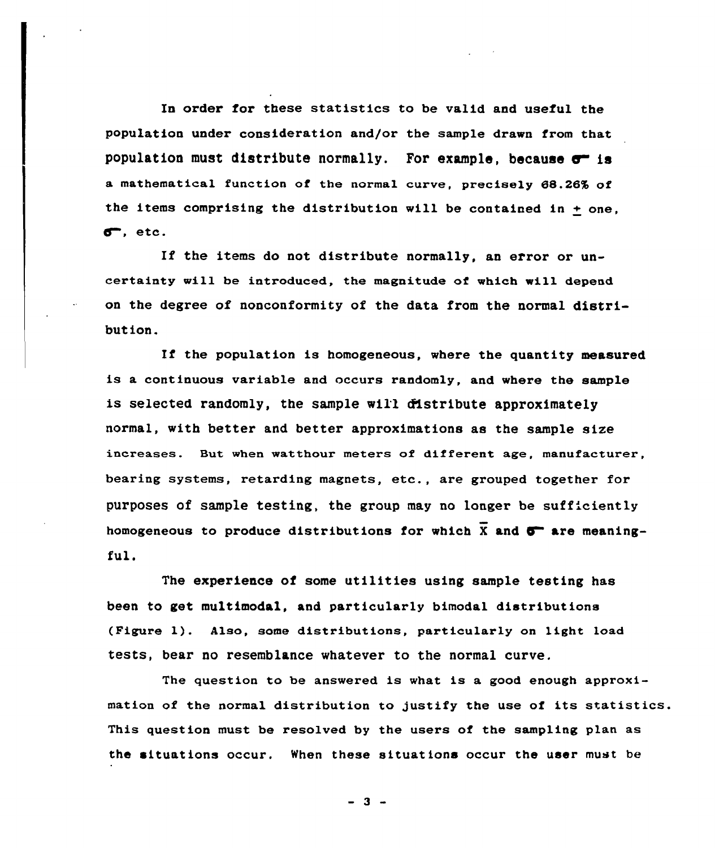In order for these statistics to be valid and useful the population under consideration and/or the sample drawn from that population must distribute normally. For example, because  $\sigma$  is a mathematical function of the normal curve, precisely 68.26% of the items comprising the distribution will be contained in  $+$  one,  $\sigma$ . etc.

If the items do not distribute normally, an error or uncertainty will be introduced, the magnitude of which will depend on the degree of nonconformity of the data from the normal distribution.

If the population is homogeneous, where the quantity measured is a continuous variable and occurs randomly, and where the sample is selected randomly, the sample will distribute approximately normal, with better and better approximations as the sample size increases. But when watthour meters of different age, manufacturer, bearing systems, retarding magnets, etc., are grouped together for purposes of sample testing, the group may no longer be suff'ciently homogeneous to produce distributions for which  $\overline{X}$  and  $\overline{O}$  are meaningful.

The experience of some utilities using sample testing has been to get multimodal, and particularly bimodal distributions (Figure 1}. Also, some distributions, particularly on light load tests, bear no resemblance whatever to the normal curve.

The question to be answered is what is a good enough approximation of the normal distribution to justify the use of its statistics. This question must be resolved by the users of the sampling plan as the situations occur. When these situations occur the user must be

 $-3 -$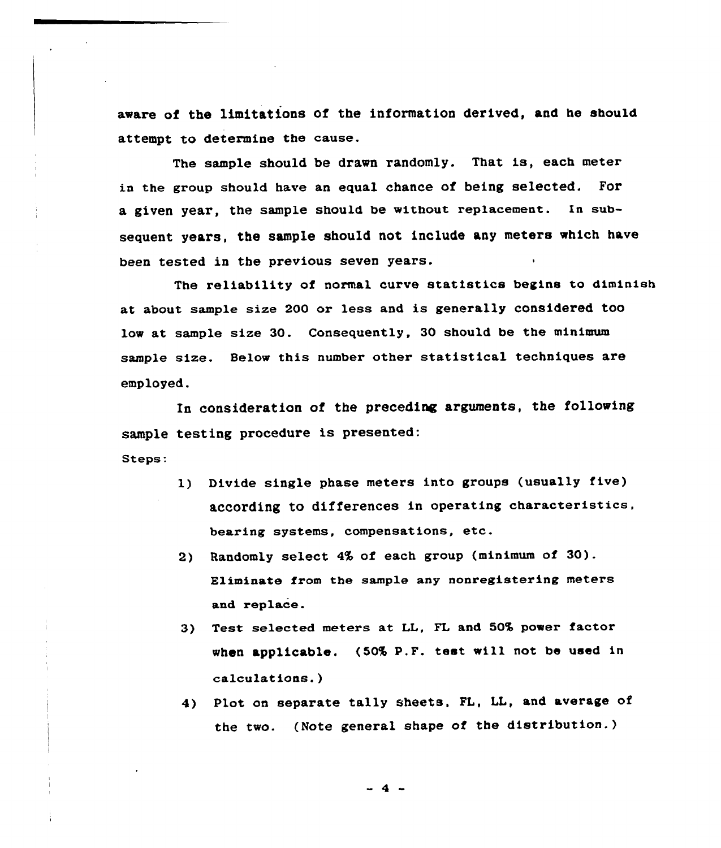aware of the limitations of the information derived, and he should attempt to determine the cause.

The sample should be drawn randomly. That is, each meter ia the group shou1d have an equal chance of heing selected. For a given year, the sample should be without replacement. In subsequent years, the sample should not include any meters which have been tested in the previous seven years.

The reliability of normal curve statistics begins to diminish at about sample size 200 or less and is generally considered too low at sample size 30. Consequently, 30 should be the minimum sample size. Below this number other statistical techniques are employed.

In consideration of the preceding arguments, the following sample testing procedure is presented: Steps:

- 1) Divide single phase meters into groups (usually five) according to differences in operating characteristics, bearing systems, compensations, etc.
- 2) Randomly select 4% of each group (minimum of 30). Eliminate from the sample any nonregistering meters and replace.
- 3) Test selected meters at LL, FL and 50% power factor when applicable. (50% P.F. test will not be used in calculations.)
- 4) Plot on separate tally sheets, FL, LL, and average of the two. (Note general shape of the distribution.)

 $-4-$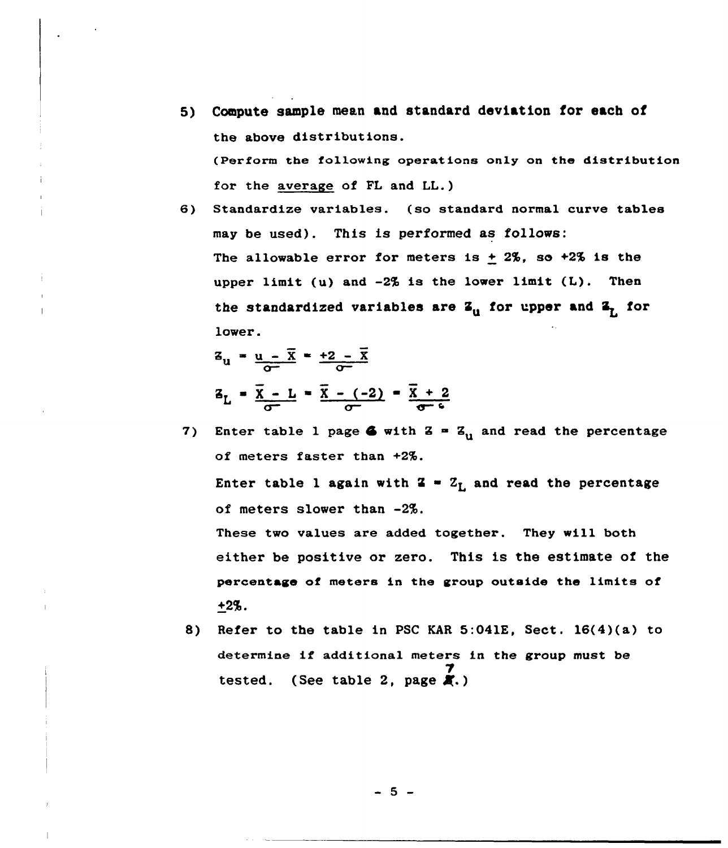- 5) Compute sample mean and standard deviation for each of the above distributions. (Perform the following operations only on the distribution for the average of FL and LL.)
- 6) Standardize variables. (so standard normal curve tables may be used). This is performed as follows The allowable error for meters is  $\pm$  2%, so +2% is the upper limit (u) and -2% is the lower limit (L). Then the standardized variables are  $\mathbf{z}_0$  for upper and  $\mathbf{z}_7$  for lower.

$$
z_u = \frac{u - \overline{x}}{\sigma^2} = \frac{+2 - \overline{x}}{\sigma^2}
$$
  

$$
z_L = \frac{\overline{x} - L}{\sigma^2} = \frac{\overline{x} - (-2)}{\sigma^2} = \frac{\overline{x} + 2}{\sigma^2}
$$

- 7) Enter table 1 page 6 with  $Z = Z_{ij}$  and read the percentage of meters faster than +2%. Enter table 1 again with  $2 - Z_L$  and read the percentage of meters slower than -2%. These two values are added together. They will both either be positive or zero. This is the estimate of the percentage of meters in the group outside the limits of +2%.
- 8) Refer to the table in PSC KAR 5:041E, Sect. 16(4)(a) to determine if additional meters in the group must be tested. (See table 2, page  $\overline{A}$ .)

 $-5 -$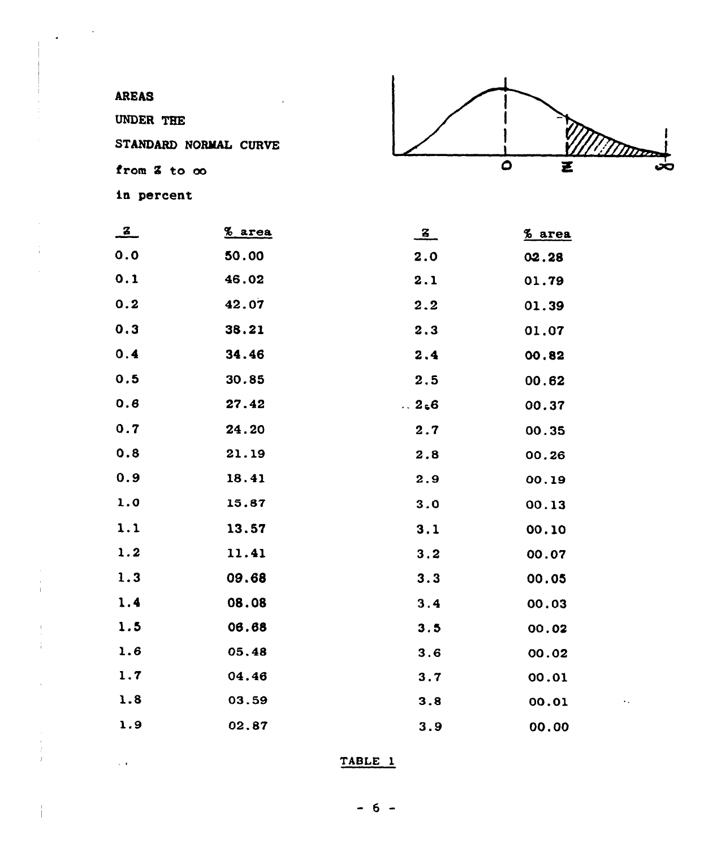

 $\overline{a}$ 

| $\mathbf{z}$ | % area | $\frac{z}{z}$ | % area |
|--------------|--------|---------------|--------|
| 0.0          | 50.00  | 2.0           | 02.28  |
| 0.1          | 46.02  | 2.1           | 01.79  |
| 0.2          | 42.07  | 2.2           | 01.39  |
| 0.3          | 38.21  | 2.3           | 01.07  |
| 0.4          | 34.46  | 2.4           | 00.82  |
| 0.5          | 30.85  | 2.5           | 00.62  |
| 0.6          | 27.42  | .2.6          | 00.37  |
| 0.7          | 24.20  | 2.7           | 00.35  |
| 0.8          | 21.19  | 2.8           | 00.26  |
| 0.9          | 18.41  | 2.9           | 00.19  |
| 1.0          | 15.87  | 3.0           | 00.13  |
| 1.1          | 13.57  | 3.1           | 00.10  |
| 1.2          | 11.41  | 3.2           | 00.07  |
| 1.3          | 09.68  | 3.3           | 00.05  |
| 1.4          | 08.08  | 3.4           | 00.03  |
| 1.5          | 06.68  | 3.5           | 00.02  |
| 1.6          | 05,48  | 3.6           | 00.02  |
| 1.7          | 04.46  | 3.7           | 00.01  |
| 1.8          | 03.59  | 3.8           | 00.01  |
| 1.9          | 02.87  | 3.9           | 00.00  |

TABLE 1

 $-6 -$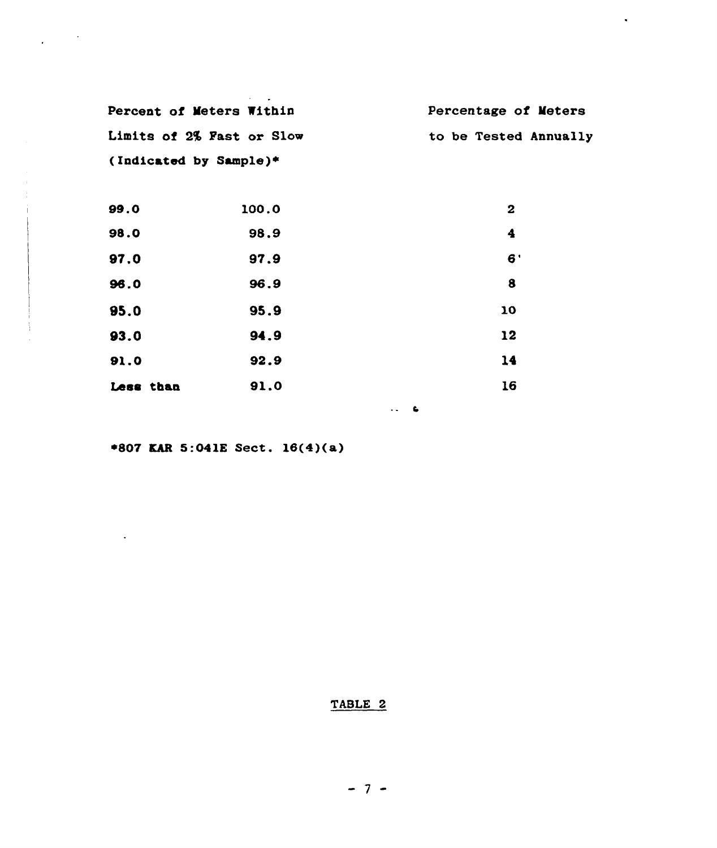| Percent of Meters Within  | Percentage of Meters  |
|---------------------------|-----------------------|
| Limits of 2% Fast or Slow | to be Tested Annually |
| (Indicated by Sample)*    |                       |

 $\bullet$ 

| 99.0      | 100.0 | 2  |
|-----------|-------|----|
| 98.0      | 98.9  | 4  |
| 97.0      | 97.9  | 6' |
| 96.0      | 96.9  | 8  |
| 95.0      | 95.9  | 10 |
| 93.0      | 94.9  | 12 |
| 91.0      | 92.9  | 14 |
| Less than | 91.0  | 16 |

+807 KhR 5:041K Sect. 16(4)(a)

 $\sim$   $\sim$ 

 $\mathcal{L}_{\text{max}}$  and  $\mathcal{L}_{\text{max}}$ 

## TABLE 2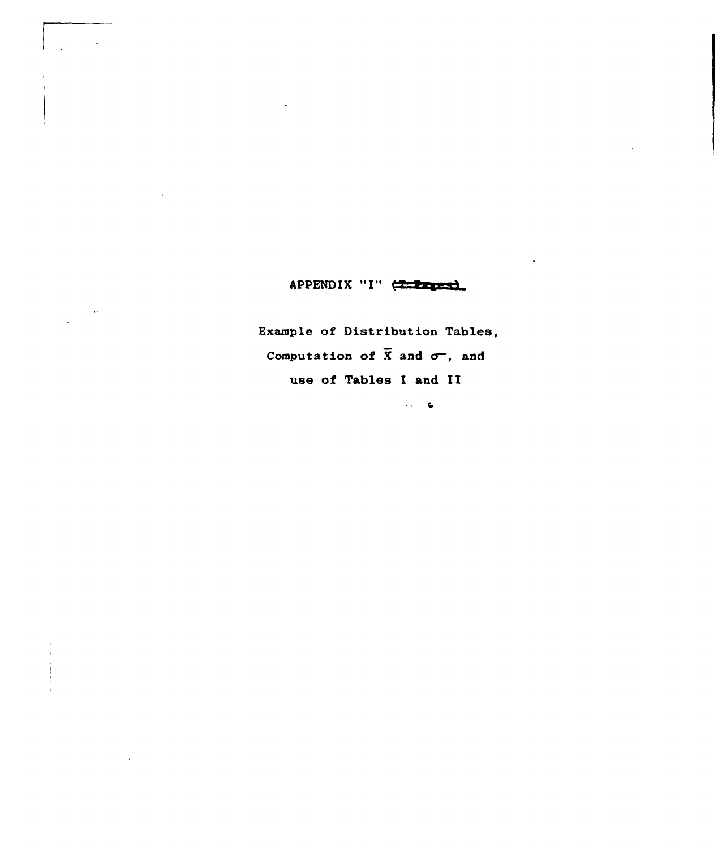APPENDIX "I" (

 $\bar{\mathcal{A}}$ 

 $\sim 100$ 

Example of Distribution Tables, Computation of  $\overline{X}$  and  $\sigma^-$ , and use of Tables I and II

 $\langle\cdot\,,\,\cdot\,\rangle$  .  $\mathsf{G}$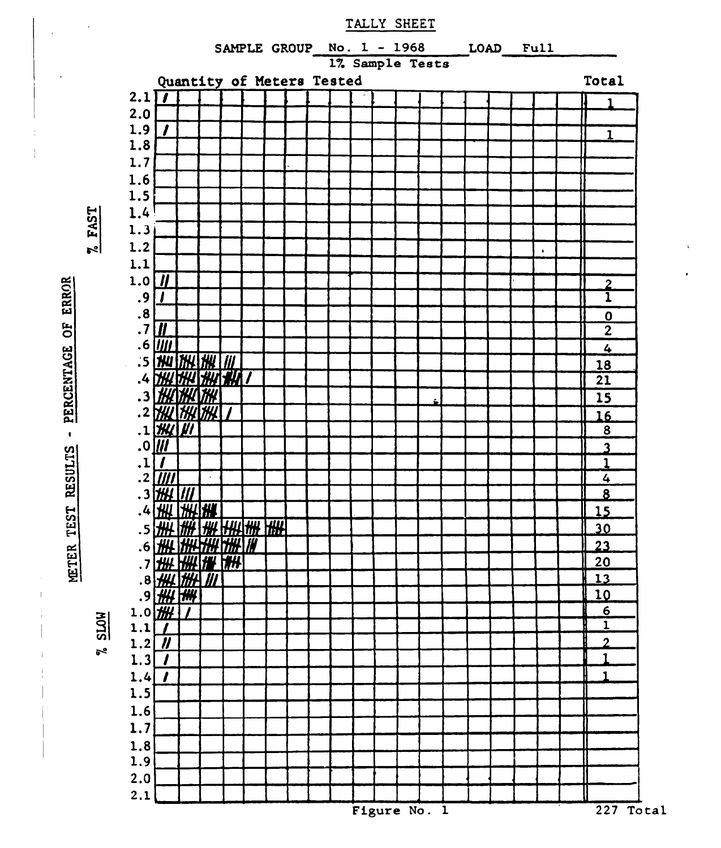

TALLY SHEET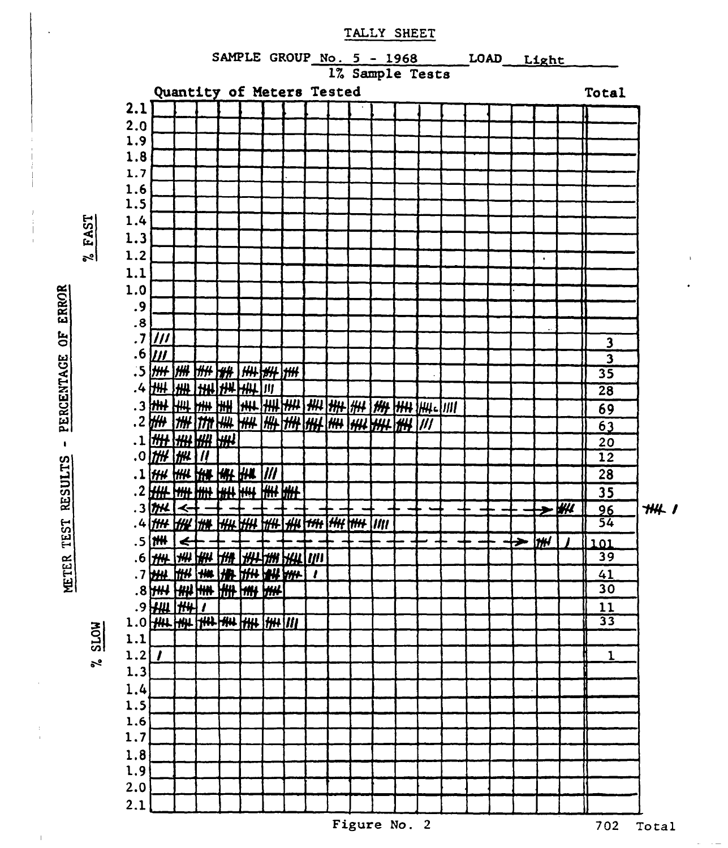

**72AST** 

**ROTS**  $\sim$ 



TALLY SHEET

Figure No. 2

702 Total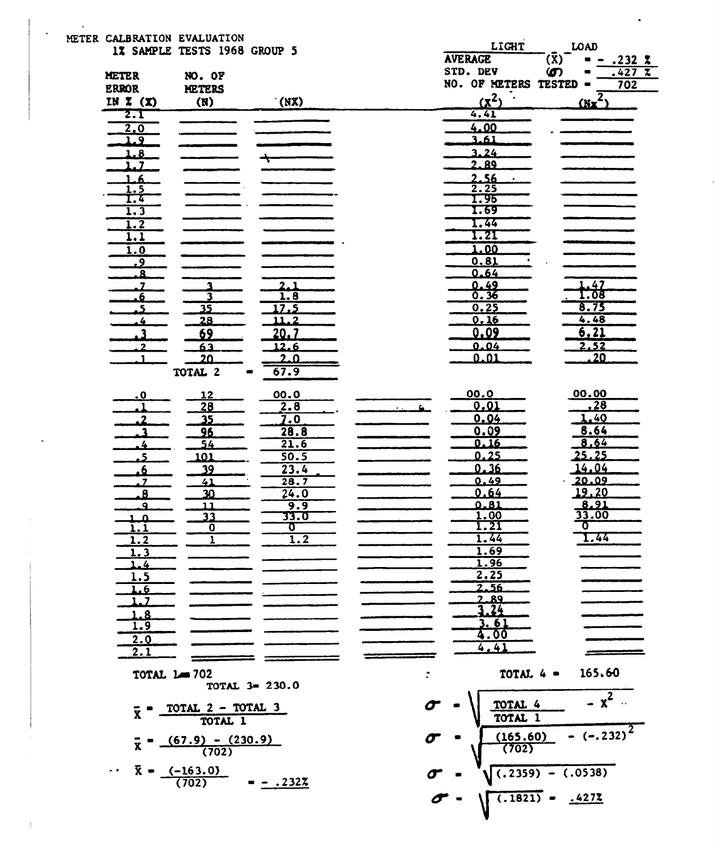| METER CALBRATION EVALUATION              |                                    |                  |    |                        |                      |
|------------------------------------------|------------------------------------|------------------|----|------------------------|----------------------|
|                                          | 1% SAMPLE TESTS 1968 GROUP 5       |                  |    | LIGHT                  | LOAD                 |
|                                          |                                    |                  |    | <b>AVERAGE</b>         | (X)<br>.232Z         |
| METER                                    | NO. OF                             |                  |    | STD. DEV               | .427Z<br>ഗ           |
| <b>ERROR</b>                             | <b>METERS</b>                      |                  |    | NO. OF METERS TESTED - | 702                  |
| IN $X(x)$                                | (N)                                | (NX)             |    | $(\underline{x}^2)$    | $(X - \overline{z})$ |
| 2. 1                                     |                                    |                  |    | 4.41                   |                      |
| 2.0                                      |                                    |                  |    | 4.00                   |                      |
| 1.9                                      |                                    |                  |    | 3.61                   |                      |
| 1.8                                      |                                    |                  |    | 3.24                   |                      |
| 1.7                                      |                                    |                  |    | 2.89                   |                      |
| - 6                                      |                                    |                  |    | 2.56                   |                      |
| 1.5                                      |                                    |                  |    | 2.25                   |                      |
| I.4                                      |                                    |                  |    | 1.96                   |                      |
| 1.3                                      |                                    |                  |    | T.69                   |                      |
| 1.2                                      |                                    |                  |    | 1.44                   |                      |
| 1.1                                      |                                    |                  |    | 1.21                   |                      |
| 1.0                                      |                                    |                  |    | .00                    |                      |
| <u>و.</u>                                |                                    |                  |    | 0.81                   |                      |
| $\overline{\mathbf{a}}$                  |                                    |                  |    | 0.64                   |                      |
| . 7                                      | 3                                  | 2.1              |    | 0.49                   | $\frac{1.47}{1.08}$  |
| ۵.                                       | 3                                  | 1.8              |    | 0.36<br>0.25           | 8.75                 |
| . 5                                      | $\overline{35}$                    | 17.5<br>11.2     |    | 0.16                   | 4.48                 |
| $\overline{\boldsymbol{u}}$              | 28                                 |                  |    | 0.09                   | 6, 21                |
| . 3                                      | 69                                 | 20.7             |    |                        |                      |
| 2                                        | 63                                 | <u>12.6</u>      |    | 0.04<br>0.01           | 2.52<br>20           |
|                                          | 20                                 | <u>2.0</u>       |    |                        |                      |
|                                          | TOTAL 2                            | 67.9             |    |                        |                      |
| . 0                                      | <u> 12</u>                         | 00.0             |    | 00.0                   | 00.00                |
|                                          | 28                                 | 2.8              | ς. | 0.01                   | .28                  |
| 2                                        | 35                                 | 7.0              |    | 0.04                   | 1.40                 |
| -2                                       | 96                                 | 28.8             |    | 0.09                   | 8.64                 |
| 4                                        | 54                                 | 21.6             |    | 0.16                   | 8,64                 |
| ٩                                        | 101                                | 50.5             |    | 0.25                   | <u> 25.25</u>        |
| 6                                        | 39                                 | 23.4             |    | 0.36                   | 14.04                |
| 7                                        | 41                                 | 28.7             |    | 0.49                   | 20.09                |
| $\bf{8}$                                 | 30                                 | 24.0             |    | 0.64                   | 19,20                |
| ۹                                        | 11                                 | 9.9              |    | 0.81                   | 8.91                 |
| $\mathbf{a}$                             | 33                                 | 33.T             |    | 1.00                   | 33.00                |
| $\overline{1.1}$                         | 0                                  | ᢐ                |    | 1.21                   | σ                    |
| 1.2                                      | 1                                  | $\overline{1.2}$ |    | 1.44                   | 1.44                 |
| $\overline{\phantom{a}}$<br>$\mathbf{L}$ |                                    |                  |    | 1.69                   |                      |
| 1.4                                      |                                    |                  |    | <u>1.96</u>            |                      |
| <u>1.5</u>                               |                                    |                  |    | 2.25                   |                      |
| 1.6                                      |                                    |                  |    | 2.56                   |                      |
|                                          |                                    |                  |    | 2.89<br>. 24           |                      |
| 1.8                                      |                                    |                  |    | 3. 61                  |                      |
| 1.9                                      |                                    |                  |    | 4.00                   |                      |
| 2.0                                      |                                    |                  |    | 4, 41                  |                      |
| 2.1                                      |                                    |                  |    |                        |                      |
| TOTAL 1= 702                             |                                    |                  |    | TOTAL 4 =              | 165.60               |
|                                          | TOTAL 3= 230.0                     |                  |    |                        |                      |
|                                          |                                    |                  |    |                        | $\overline{x^2}$     |
| $\bar{x}$                                | TOTAL 2 - TOTAL 3                  |                  |    | TOTAL 4                |                      |
|                                          | TOTAL 1                            |                  |    | TOTAL 1                |                      |
|                                          |                                    |                  | σ  | (165.60)               | $-(-.232)$           |
| $\mathbf x$                              | $(67.9) - (230.9)$                 |                  |    | (702)                  |                      |
|                                          | (702)                              |                  |    |                        |                      |
|                                          |                                    |                  |    |                        | $(.2359) - (.0538)$  |
|                                          | $\bar{x} = \frac{(-163.0)}{(702)}$ | $-.2322$         |    |                        |                      |
|                                          |                                    |                  |    | $(.1821)$ =            | .4272                |
|                                          |                                    |                  |    |                        |                      |
|                                          |                                    |                  |    |                        |                      |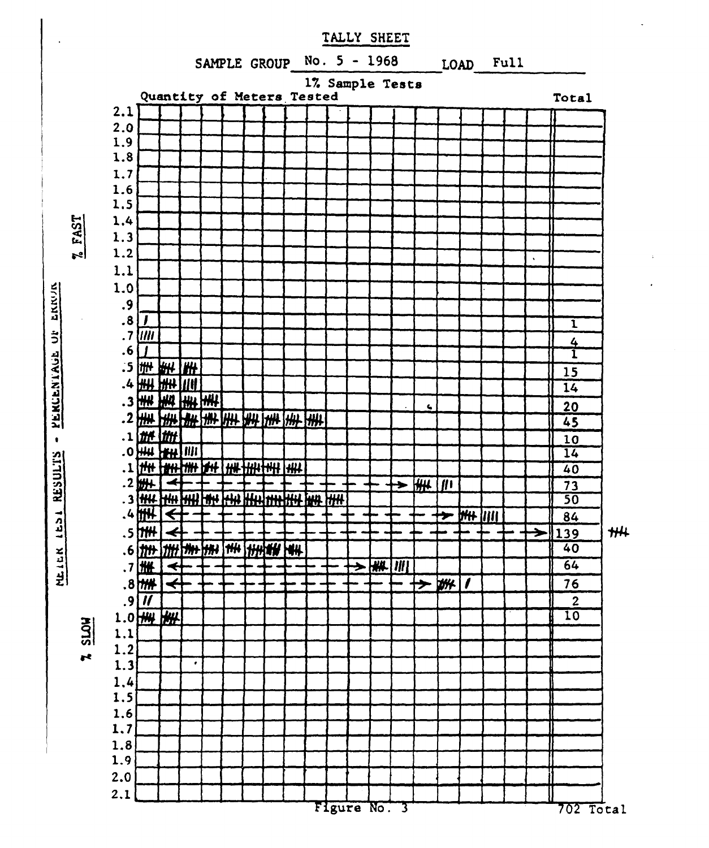

PERCENTAGE  $\bullet$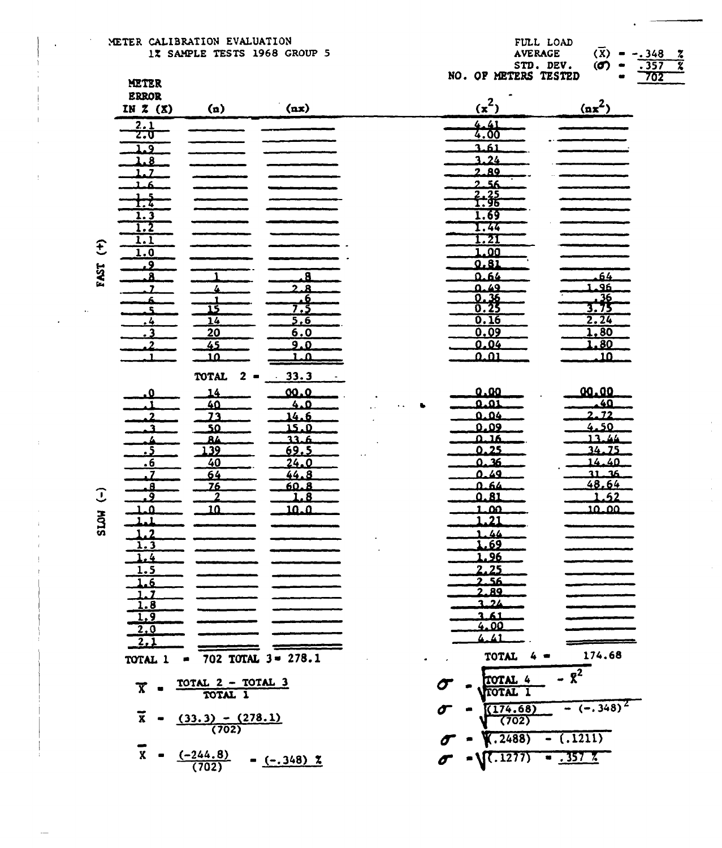|             | METER                                  |                                  |                                  | $\cdots$ | r de a ester        | 스타니 스타나                                      |
|-------------|----------------------------------------|----------------------------------|----------------------------------|----------|---------------------|----------------------------------------------|
|             | <b>ERROR</b>                           |                                  |                                  |          | $(x^2)$             | $\left(\frac{\text{nx}^2}{\text{nx}}\right)$ |
|             | IN $Z(x)$                              | (n)                              | (nx)                             |          |                     |                                              |
|             | 2.1<br><b>z.u</b>                      |                                  |                                  |          | 4.41<br>4.00        |                                              |
|             | 1.9                                    |                                  |                                  |          | 3.61                |                                              |
|             | 1.8                                    |                                  |                                  |          | 3.24                |                                              |
|             | 1.7                                    |                                  |                                  |          | 2.89                |                                              |
|             | .6                                     |                                  |                                  |          | 56<br>$2-$          |                                              |
|             | $\frac{5}{4}$                          |                                  |                                  |          | $\frac{2.35}{1.96}$ |                                              |
|             | $\overline{1.3}$                       |                                  |                                  |          | 1.69                |                                              |
|             | 1.2                                    |                                  |                                  |          | 1.44                |                                              |
|             | 1.1                                    |                                  |                                  |          | .21                 |                                              |
| E           | $\overline{1.0}$                       |                                  |                                  |          | 1.00                |                                              |
|             | .9                                     |                                  |                                  |          | 0.81                |                                              |
| <b>TSAT</b> | я                                      |                                  | <b>A</b>                         |          | 0.64                | 64                                           |
|             | $\overline{\mathbf{z}}$                | 4                                | 2.8                              |          | 0.49                | 1.96                                         |
|             | 6.<br>٩                                | 1<br>قا                          | <u>, 6</u><br>7,3                |          | $\frac{0.36}{0.25}$ | $\frac{36}{3.75}$                            |
|             | $\overline{\cdot}$                     | $\overline{14}$                  | 5.6                              |          | 0.16                | 2.24                                         |
|             | $^{13}$                                | 20                               | 6.0                              |          | 0.09                | 1,80                                         |
|             | $\mathbf{z}$                           | 45                               | 9.0                              |          | 0.04                | .80                                          |
|             | ъ                                      | 10                               | 1. a                             |          | 0.01                | $\overline{\mathbf{10}}$                     |
|             |                                        | <b>TOTAL</b><br>2                | 33.3                             |          |                     |                                              |
|             |                                        |                                  |                                  |          | 0.00                | 00.00                                        |
|             | 0                                      | 14<br>40                         | 00.0<br>4.0                      |          | 0.01                | $\overline{40}$                              |
|             | $\overline{2}$                         | 23                               | 14.6                             |          | 0.04                | 2.72                                         |
|             | 3                                      | 50                               | <u>0. كذ</u>                     |          | 0.09                | 4.50                                         |
|             |                                        | 84                               | عدد                              |          | هنتم                | 13.44                                        |
|             | - 5                                    | 139                              | 69.5                             |          | 0.25                | 34.75                                        |
|             | .6                                     | 40                               | 24.0                             |          | <u>ةد. ٥</u>        | 14.40                                        |
|             | . 7                                    | 64                               | 44.8                             |          | 0.49                | 36<br>31.<br>48.64                           |
| Ĵ           | ø<br>9.                                | 76<br>2                          | 60.8<br>$\overline{\mathbf{.8}}$ |          | 4.64<br>0.81        | 1.52                                         |
|             | ្ណុ                                    | <u>1Ω</u>                        | <u> 10.0</u>                     |          | 1.00                | 10.00                                        |
| <b>HOTS</b> | -1                                     |                                  |                                  | 1        | $\overline{.21}$    |                                              |
|             | $\cdot$ 2<br>1                         |                                  |                                  |          | 1.44                |                                              |
|             | $\overline{1.3}$                       |                                  |                                  |          | 69                  |                                              |
|             | $\overline{\cdot}$                     |                                  |                                  |          | <b>L.96</b>         |                                              |
|             | <u>1.5</u>                             |                                  |                                  |          | 2.25                |                                              |
|             | 1.6                                    |                                  |                                  |          | 2.56<br><u>2.89</u> |                                              |
|             |                                        |                                  |                                  |          | 3.24                |                                              |
|             | $\frac{1.7}{1.8}$<br>$\frac{1.9}{1.9}$ |                                  |                                  |          | 3.61                |                                              |
|             | 2,0                                    |                                  |                                  |          | 4.00                |                                              |
|             | $\overline{2.1}$                       |                                  |                                  |          | 4.41                |                                              |
|             | TOTAL 1                                |                                  | 702 TOTAL $3 = 278.1$            |          | TOTAL               | 174.68                                       |
|             |                                        |                                  |                                  |          |                     |                                              |
|             |                                        | <u>TOTAL 2 - TOTAL 3</u>         |                                  |          | TOTAL 4             | $-8^{2}$                                     |
|             | $\overline{\mathbf{x}}$                | TOTAL 1                          |                                  |          | TOTAL 1             |                                              |
|             |                                        |                                  |                                  |          | (174.68)            | $-(-.348)^2$                                 |
|             | $\overline{x}$                         | $\frac{(33.3) - (278.1)}{(702)}$ |                                  |          | (702)               |                                              |
|             |                                        |                                  |                                  |          | .2488)<br>un l      | ( .1211)                                     |
|             | $\overline{x}$                         |                                  |                                  |          |                     |                                              |
|             |                                        | $\frac{(-244.8)}{(702)}$         | $-(-.348)$ 2                     |          | .1277)              | . 357 %                                      |
|             |                                        |                                  |                                  |          |                     |                                              |

 $\lambda$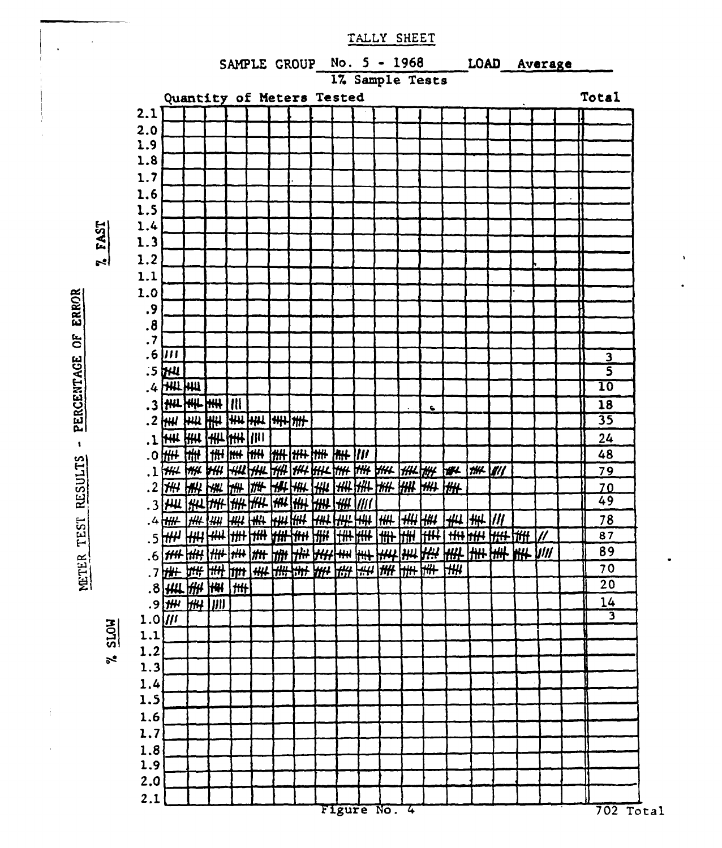

PERCENTAGE OF ERROR  $\hat{\mathbf{t}}$ METER TEST RESULTS

 $\sim 10$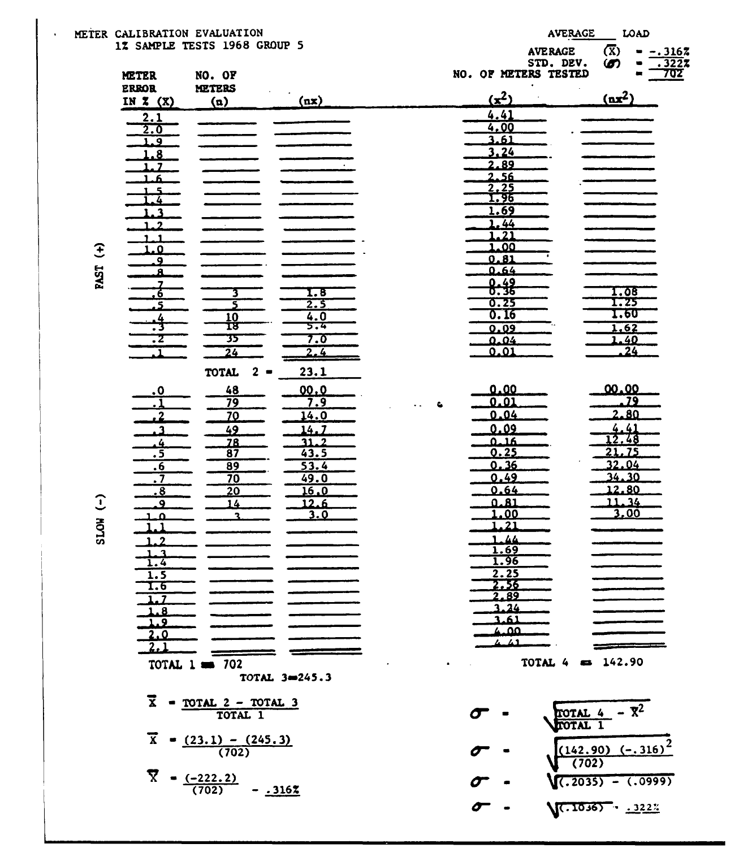|                        |                                      | METER CALIBRATION EVALUATION |               |                       | <b>AVERAGE</b>                |                  | LOAD                  |
|------------------------|--------------------------------------|------------------------------|---------------|-----------------------|-------------------------------|------------------|-----------------------|
|                        |                                      | 1% SAMPLE TESTS 1968 GROUP 5 |               |                       | <b>AVERAGE</b>                | $(\overline{x})$ | $-.3162$              |
|                        | <b>METER</b>                         | NO. OF                       |               | NO. OF METERS TESTED  | STD. DEV.                     | ഗ                | .3227<br><u> 702 </u> |
|                        | <b>ERROR</b>                         | <b>METERS</b>                |               |                       |                               |                  |                       |
|                        | IN $\bar{x}$ $(X)$                   | (n)                          | (nx)          | $(x^2)$               |                               | $(nx^2)$         |                       |
|                        | 2.1                                  |                              |               | 4.41<br>4.00          |                               |                  |                       |
|                        | 2.0<br>1.9                           |                              |               | 3.61                  |                               |                  |                       |
|                        | 1.8                                  |                              |               | 3.24                  |                               |                  |                       |
|                        | . 7                                  |                              |               | 2.89<br>2.56          |                               |                  |                       |
|                        | 4. 1<br>$\overline{\mathbf{a}}$      |                              |               | 2.25                  |                               |                  |                       |
|                        | $-4$                                 |                              |               | 1.96                  |                               |                  |                       |
|                        | $\overline{\mathbf{3}}$<br>2         |                              |               | 1.69<br>1.44          |                               |                  |                       |
|                        | 1                                    |                              |               | $\overline{21}$       |                               |                  |                       |
| $\mathfrak{F}$         | .0<br>9                              |                              |               | <u>00.</u><br>0.81    |                               |                  |                       |
| <b>PAST</b>            | я                                    |                              |               | 0.64                  |                               |                  |                       |
|                        | 7<br>. 6                             | з                            | 1.8           | 8:38                  |                               | 1.08             |                       |
|                        | - 5                                  | 5                            | 2.5           | 0.25                  |                               | 1.25             |                       |
|                        | <u>. 4</u><br>. .                    | 10<br>18                     | 4.0<br>5.4    | 0.16<br>0.09          |                               | 1.60<br>1.62     |                       |
|                        | $\overline{\cdot}$                   | 35                           | 7.0           | 0.04                  |                               | 1.40             |                       |
|                        | 1                                    | $\overline{24}$              | 2.4           | 0.01                  |                               | 24               |                       |
|                        |                                      | <b>TOTAL</b><br>$\mathbf{2}$ | 23.1          |                       |                               |                  |                       |
|                        | $\cdot$ <sup>0</sup>                 | 48                           | 00.0          | 0.00                  |                               | 00.00            |                       |
|                        | ړ.                                   | 79<br>70                     | 7.9<br>14.0   | 0.01<br>0.04          |                               | 2.80             | 79                    |
|                        | . 2<br>ำ                             | 49                           | 14.7          | 0.09                  |                               | 4.41             |                       |
|                        | . 4                                  | 78                           | 31.2          | 0.16                  |                               | 2.48             |                       |
|                        | $\overline{\cdot}$ 5<br>.6           | $\overline{87}$<br>89        | 43.5<br>53.4  | 0.25<br>0.36          |                               | 21.75<br>32.04   |                       |
|                        | $\cdot$ 7                            | 70                           | 49.0          | 0.49                  |                               | 34.30            |                       |
| $\widehat{\mathbb{C}}$ | . 8                                  | $\overline{20}$              | 16.0<br>12.6  | 0.64<br>0.81          |                               | 12.80<br>11.34   |                       |
|                        | $\overline{9}$<br><u>م.</u>          | 14<br>2                      | <u>3.0</u>    | 1.00                  |                               | 3.00             |                       |
| <b>HOTS</b>            | - 1                                  |                              |               | 1.21                  |                               |                  |                       |
|                        | $\cdot$ 2<br>1<br>1.3                |                              |               | 1.44<br>1.69          |                               |                  |                       |
|                        | $\frac{1.4}{1.5}$                    |                              |               | <u>1.96</u>           |                               |                  |                       |
|                        | I.6                                  |                              |               | 2.25<br>.56           |                               |                  |                       |
|                        | 1.1                                  |                              |               | 2.89                  |                               |                  |                       |
|                        | $\overline{1.8}$<br>$\overline{1.9}$ |                              |               | 3.24<br>1.61          |                               |                  |                       |
|                        | <u>2.0</u>                           |                              |               | مم.ء                  |                               |                  |                       |
|                        | 2.1                                  |                              |               | 4 A 1                 |                               |                  |                       |
|                        |                                      | TOTAL $1 = 702$              |               |                       | TOTAL 4                       | $\approx 142.90$ |                       |
|                        |                                      |                              | TOTAL 3-245.3 |                       |                               |                  |                       |
|                        | $\bar{x}$                            | $=$ TOTAL $2$ - TOTAL 3      |               |                       |                               | $- \mathbf{R}^2$ |                       |
|                        |                                      | TOTAL 1                      |               | $\boldsymbol{\sigma}$ | TOTAL 4<br><b>TOTAL</b>       |                  |                       |
|                        | $\overline{x}$                       | $= (23.1) - (245.3)$         |               |                       |                               |                  |                       |
|                        |                                      | (702)                        |               |                       | $(142.90)$ $(-.316)$<br>(702) |                  |                       |
|                        | Ÿ.                                   | $-(-222.2)$                  |               |                       |                               |                  | $.2035) - (.0999)$    |
|                        |                                      | (702)                        | $- .3162$     |                       |                               |                  |                       |
|                        |                                      |                              |               | $\sigma$              | $(7.1036)$ $.1222$            |                  |                       |

l,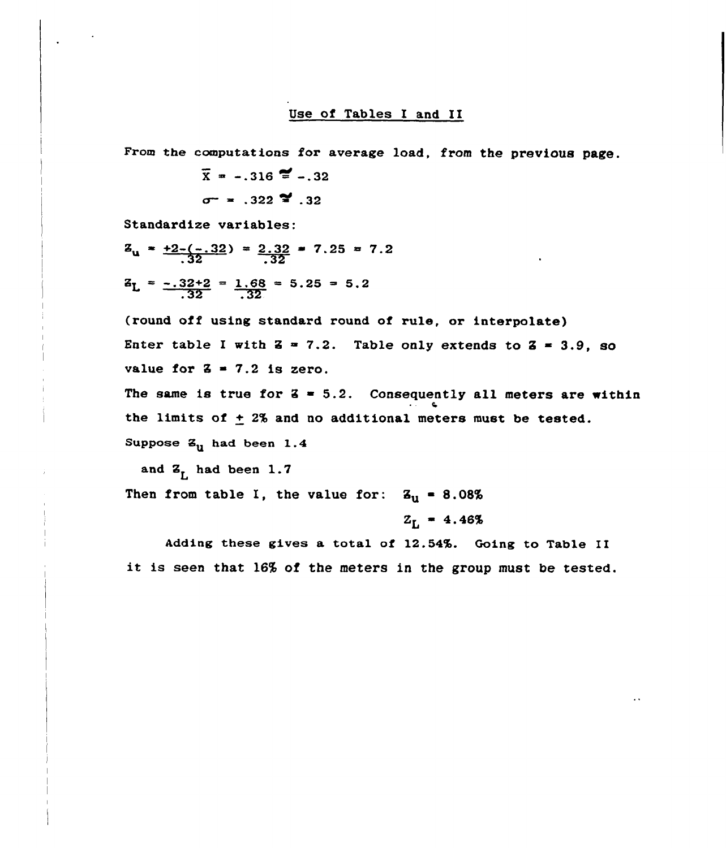#### Use of Tables I and II

From the computations for average load, from the previous page.

$$
\bar{x} = -.316
$$
  $\approx$   $-.32$   
 $\sigma = -.322$   $\approx .32$ 

Standardize variables:

$$
Z_{u} = \frac{+2 - (-.32)}{.32} = \frac{2.32}{.32} = 7.25 = 7.2
$$
  

$$
Z_{L} = \frac{-.32 + 2}{.32} = \frac{1.68}{.32} = 5.25 = 5.2
$$

(round off using standard round of rule, or interpolate) Enter table I with  $Z = 7.2$ . Table only extends to  $Z = 3.9$ , so value for  $\bar{z}$  = 7.2 is zero.

The same is true for  $2 = 5.2$ . Consequently all meters are within the limits of  $\pm$  2% and no additional meters must be tested. Suppose  $Z_{11}$  had been 1.4

and  $Z_{r}$  had been 1.7

Then from table I, the value for:  $Z_{\text{u}} = 8.08\%$ 

 $Z_{\rm L}$  = 4.46%

Adding these gives a total of 12.54%. Going to Table II it is seen that l6% of the meters in the group must be tested.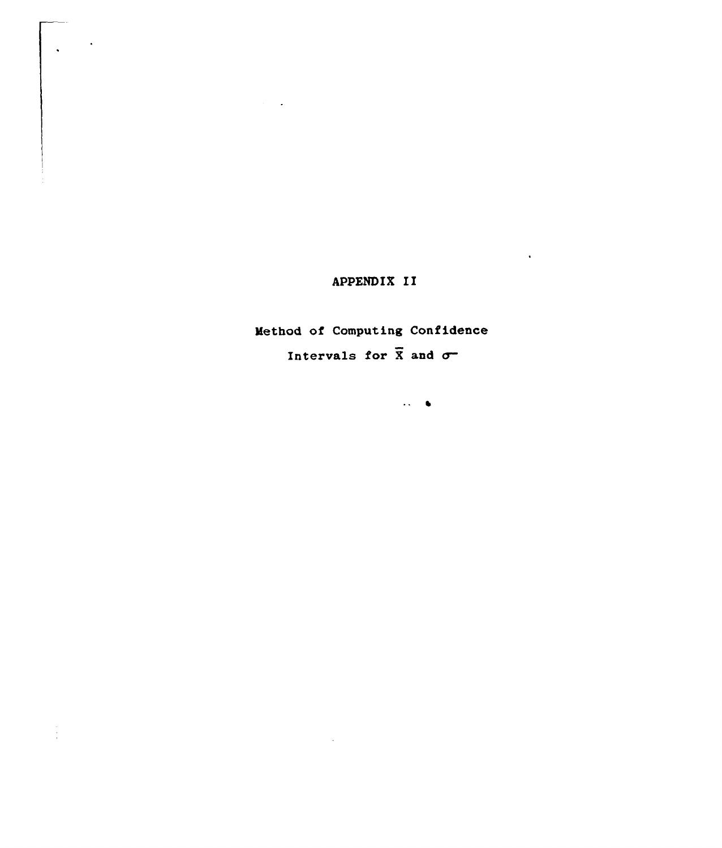# APPENDIX II

Method of Computing Confidence Intervals for  $\overline{X}$  and  $\sigma$ 

 $\bar{\mathcal{L}}$ 

 $\frac{1}{4}$ 

 $\Delta\lambda=0$ 

 $\hat{\mathcal{A}}$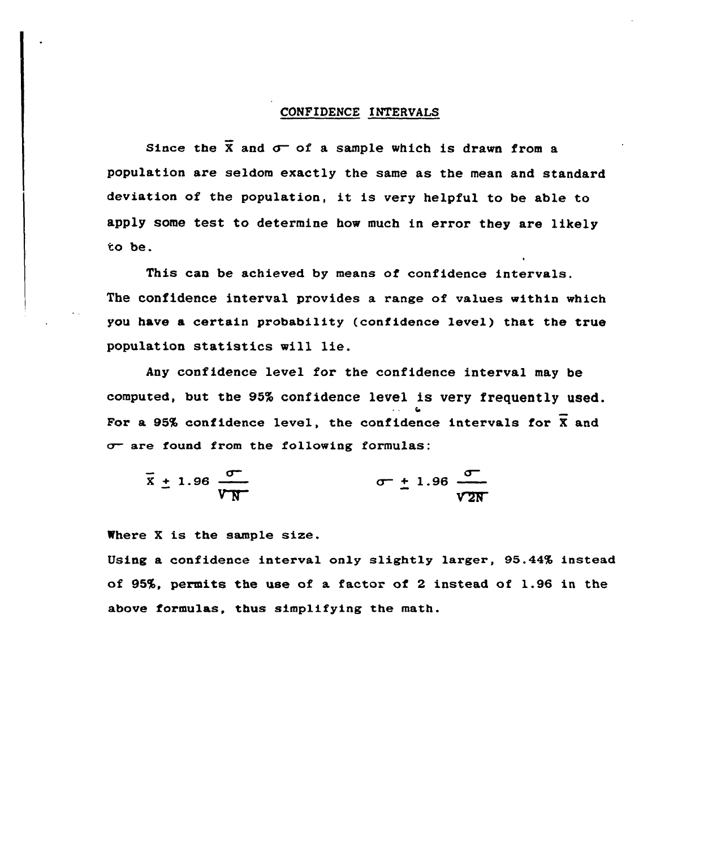### CONFIDENCE INTERVALS

Since the  $\bar{x}$  and  $\sigma$  of a sample which is drawn from a population are seldom exactly the same as the mean and standard deviation of the population, it is very helpful to be able to apply some test to determine how much in error they are likely to be.

This can be achieved by means of confidence intervals. The confidence interval provides a range of values within which you have a certain probability (confidence level) that the true population statistics will lie.

Any confidence level for the confidence interval may be computed, but the 95% confidence level is very frequently used. For a 95% confidence level, the confidence intervals for  $\overline{X}$  and  $\sigma$  are found from the following formulas:

$$
\overline{x} \pm 1.96 \frac{\sigma}{\sqrt{N}} \qquad \sigma \pm 1.96 \frac{\sigma}{\sqrt{2N}}
$$

Where <sup>X</sup> is the sample size.

Using a confidence interval only slightly larger, 95.44% instead of 95%, permits the use of a factor of 2 instead of 1.96 in the above formulas, thus simplifying the math.